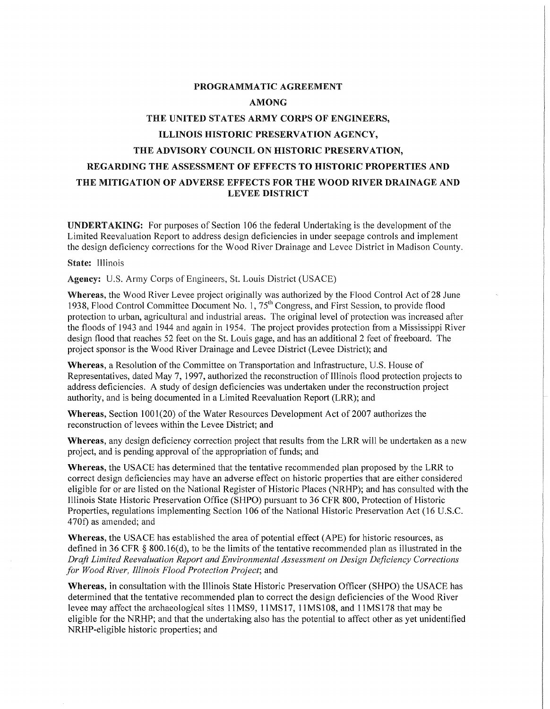# **PROGRAMMATIC AGREEMENT AMONG THE UNITED STATES ARMY CORPS OF ENGINEERS, ILLINOIS HISTORIC PRESERVATION AGENCY, THE ADVISORY COUNCIL ON HISTORIC PRESERVATION, REGARDING THE ASSESSMENT OF EFFECTS TO HISTORIC PROPERTIES AND THE MITIGATION OF ADVERSE EFFECTS FOR THE WOOD RIVER DRAINAGE AND LEVEE DISTRICT**

**UNDERTAKING:** For purposes of Section 106 the federal Undertaking is the development of the Limited Reevaluation Report to address design deficiencies in under seepage controls and implement the design deficiency corrections for the Wood River Drainage and Levee District in Madison County.

#### State: Illinois

**Agency:** U.S. Army Corps of Engineers, St. Louis District (USACE)

Whereas, the Wood River Levee project originally was authorized by the Flood Control Act of 28 June 1938, Flood Control Committee Document No. 1,  $75<sup>th</sup>$  Congress, and First Session, to provide flood protection to urban, agricultural and industrial areas. The original level of protection was increased after the floods of 1943 and 1944 and again in 1954. The project provides protection from a Mississippi River design flood that reaches 52 feet on the St. Louis gage, and has an additional 2 feet of freeboard. The project sponsor is the Wood River Drainage and Levee District (Levee District); and

**Whereas,** a Resolution of the Committee on Transportation and Infrastructure, U.S. House of Representatives, dated May 7, 1997, authorized the reconstruction of Illinois flood protection projects to address deficiencies. A study of design deficiencies was undertaken under the reconstruction project authority, and is being documented in a Limited Reevaluation Report (LRR); and

**Whereas, Section 1001(20) of the Water Resources Development Act of 2007 authorizes the** reconstruction of levees within the Levee District; and

**Whereas,** any design deficiency correction project that results from the LRR will be undertaken as a new project, and is pending approval of the appropriation of funds; and

**Whereas,** the USACE has determined that the tentative recommended plan proposed by the LRR to correct design deficiencies may have an adverse effect on historic properties that are either considered eligible for or are listed on the National Register of Historic Places (NRHP); and has consulted with the Illinois State Historic Preservation Office (SHPO) pursuant to 36 CFR 800, Protection of Historic Properties, regulations implementing Section 106 of the National Historic Preservation Act (16 U.S.C. 4 70f) as amended; and

Whereas, the USACE has established the area of potential effect (APE) for historic resources, as defined in 36 CFR  $\S$  800.16(d), to be the limits of the tentative recommended plan as illustrated in the *Draft Limited Reevaluation Report and Environmental Assessment on Design Deficiency Corrections for Wood River, Illinois Flood Protection Project;* and

**Whereas,** in consultation with the Illinois State Historic Preservation Officer (SHPO) the USA CE has determined that the tentative recommended plan to correct the design deficiencies of the Wood River levee may affect the archaeological sites 11MS9, 11MS17, 11MS108, and 11MS178 that may be eligible for the NRHP; and that the undertaking also has the potential to affect other as yet unidentified NRHP-eligible historic properties; and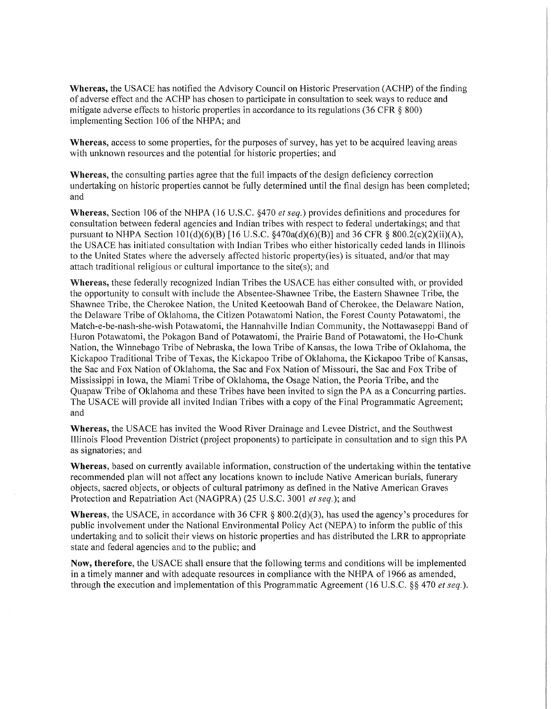**Whereas,** the USACE has notified the Advisory Council on Historic Preservation (ACHP) of the finding of adverse effect and the ACHP has chosen to participate in consultation to seek ways to reduce and mitigate adverse effects to historic properties in accordance to its regulations (36 CFR  $\S$  800) implementing Section 106 of the NHPA; and

**Whereas,** access to some properties, for the purposes of survey, has yet to be acquired leaving areas with unknown resources and the potential for historic properties; and

**Whereas,** the consulting parties agree that the full impacts of the design deficiency correction undertaking on historic properties cannot be fully determined until the final design has been completed; and

**Whereas,** Section 106 of the NHPA (16 U.S.C. §470 *et seq.)* provides definitions and procedures for consultation between federal agencies and Indian tribes with respect to federal undertakings; and that pursuant to NHPA Section  $101(d)(6)(B)$  [16 U.S.C. §470a(d)(6)(B)] and 36 CFR § 800.2(c)(2)(ii)(A), the USA CE has initiated consultation with Indian Tribes who either historically ceded lands in Illinois to the United States where the adversely affected historic property(ies) is situated, and/or that may attach traditional religious or cultural importance to the site(s); and

**Whereas,** these federally recognized Indian Tribes the USA CE has either consulted with, or provided the opportunity to consult with include the Absentee-Shawnee Tribe, the Eastern Shawnee Tribe, the Shawnee Tribe, the Cherokee Nation, the United Keetoowah Band of Cherokee, the Delaware Nation, the Delaware Tribe of Oklahoma, the Citizen Potawatomi Nation, the Forest County Potawatomi, the Match-e-be-nash-she-wish Potawatomi, the Hannahville Indian Community, the Nottawaseppi Band of Huron Potawatomi, the Pokagon Band of Potawatomi, the Prairie Band of Potawatomi, the Ho-Chunk Nation, the Winnebago Tribe of Nebraska, the Iowa Tribe of Kansas, the Iowa Tribe of Oklahoma, the Kickapoo Traditional Tribe of Texas, the Kickapoo Tribe of Oklahoma, the Kickapoo Tribe of Kansas, the Sac and Fox Nation of Oklahoma, the Sac and Fox Nation of Missouri, the Sac and Fox Tribe of Mississippi in Iowa, the Miami Tribe of Oklahoma, the Osage Nation, the Peoria Tribe, and the Quapaw Tribe of Oklahoma and these Tribes have been invited to sign the PA as a Concurring parties. The USA CE will provide all invited Indian Tribes with a copy of the Final Programmatic Agreement; and

**Whereas,** the USACE has invited the Wood River Drainage and Levee District, and the Southwest Illinois Flood Prevention District (project proponents) to participate in consultation and to sign this PA as signatories; and

**Whereas,** based on currently available information, construction of the undertaking within the tentative recommended plan will not affect any locations known to include Native American burials, funerary objects, sacred objects, or objects of cultural patrimony as defined in the Native American Graves Protection and Repatriation Act (NAGPRA) (25 U.S.C. 3001 *et seq.);* and

**Whereas,** the USACE, in accordance with 36 CFR § 800.2(d)(3), has used the agency's procedures for public involvement under the National Environmental Policy Act (NEPA) to inform the public of this undertaking and to solicit their views on historic properties and has distributed the LRR to appropriate state and federal agencies and to the public; and

**Now, therefore,** the USACE shall ensure that the following terms and conditions will be implemented in a timely manner and with adequate resources in compliance with the NHPA of 1966 as amended, through the execution and implementation of this Programmatic Agreement (16 U.S.C. §§ 470 *et seq.).*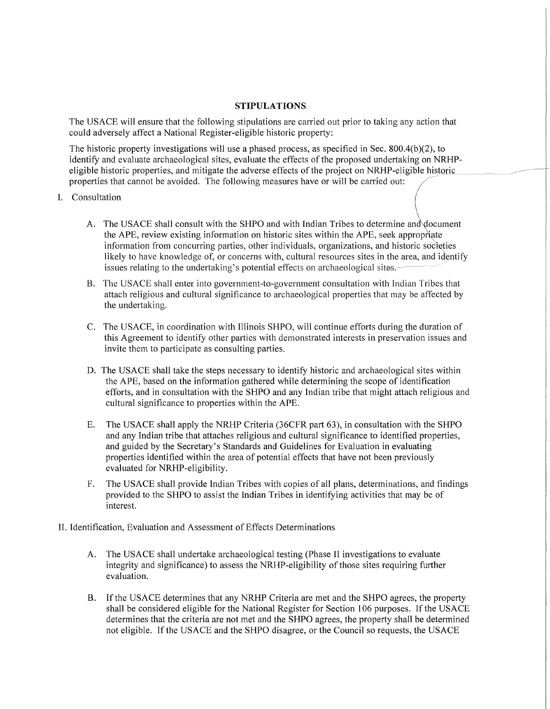### **STIPULATIONS**

The USACE will ensure that the following stipulations are carried out prior to taking any action that could adversely affect a National Register-eligible historic property:

The historic property investigations will use a phased process, as specified in Sec. 800.4(b)(2), to identify and evaluate archaeological sites, evaluate the effects of the proposed undertaking on NRHPeligible historic properties, and mitigate the adverse effects of the project on NRHP-eligible historic properties that cannot be avoided. The following measures have or will be carried out:

\_,,-~---

- I. Consultation
	- A. The USACE shall consult with the SHPO and with Indian Tribes to determine and document the APE, review existing information on historic sites within the APE, seek appropriate information from concurring parties, other individuals, organizations, and historic societies likely to have knowledge of, or concerns with, cultural resources sites in the area, and identify issues relating to the undertaking's potential effects on archaeological sites.
	- B. The USACE shall enter into government-to-government consultation with Indian Tribes that attach religious and cultural significance to archaeological properties that may be affected by the undertaking.
	- C. The USACE, in coordination with lllinois SHPO, will continue efforts during the duration of this Agreement to identify other parties with demonstrated interests in preservation issues and invite them to participate as consulting parties.
	- D. The USACE shall take the steps necessary to identify historic and archaeological sites within the APE, based on the information gathered while determining the scope of identification efforts, and in consultation with the SHPO and any Indian tribe that might attach religious and cultural significance to properties within the APE.
	- E. The USACE shall apply the NRHP Criteria (36CFR part 63), in consultation with the SHPO and any Indian tribe that attaches religious and cultural significance to identified properties, and guided by the Secretary's Standards and Guidelines for Evaluation in evaluating properties identified within the area of potential effects that have not been previously evaluated for NRHP-eligibility.
	- F. The USACE shall provide Indian Tribes with copies of all plans, determinations, and findings provided to the SHPO to assist the Indian Tribes in identifying activities that may be of interest.
- II. Identification, Evaluation and Assessment of Effects Determinations
	- A. The USACE shall undertake archaeological testing (Phase II investigations to evaluate integrity and significance) to assess the NRHP-eligibility of those sites requiring further evaluation.
	- B. If the USACE determines that any NRHP Criteria are met and the SHPO agrees, the property shall be considered eligible for the National Register for Section 106 purposes. If the USACE determines that the criteria are not met and the SHPO agrees, the property shall be determined not eligible. If the USACE and the SHPO disagree, or the Council so requests, the USACE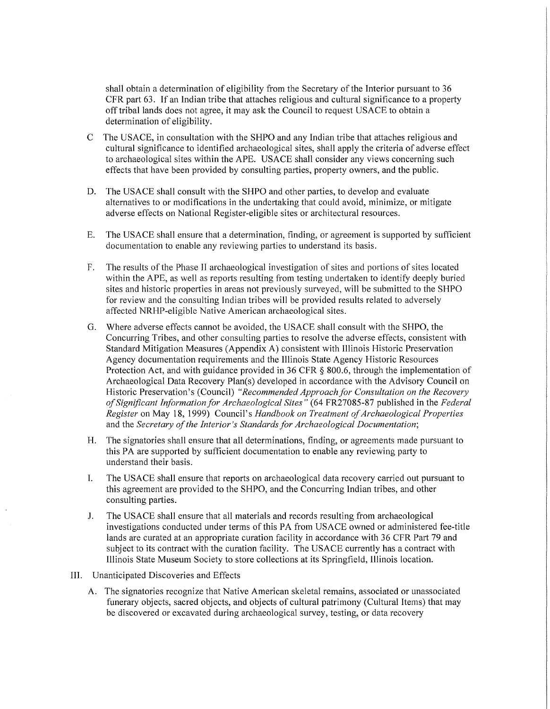shall obtain a determination of eligibility from the Secretary of the Interior pursuant to 36 CFR part 63. If an Indian tribe that attaches religious and cultural significance to a property off tribal lands does not agree, it may ask the Council to request USACE to obtain a determination of eligibility.

- C The USACE, in consultation with the SHPO and any Indian tribe that attaches religious and cultural significance to identified archaeological sites, shall apply the criteria of adverse effect to archaeological sites within the APE. USACE shall consider any views concerning such effects that have been provided by consulting parties, property owners, and the public.
- D. The USACE shall consult with the SHPO and other parties, to develop and evaluate alternatives to or modifications in the undertaking that could avoid, minimize, or mitigate adverse effects on National Register-eligible sites or architectural resources.
- E. The USACE shall ensure that a determination, finding, or agreement is supported by sufficient documentation to enable any reviewing parties to understand its basis.
- F. The results of the Phase II archaeological investigation of sites and portions of sites located within the APE, as well as reports resulting from testing undertaken to identify deeply buried sites and historic properties in areas not previously surveyed, will be submitted to the SHPO for review and the consulting Indian tribes will be provided results related to adversely affected NRHP-eligible Native American archaeological sites.
- G. Where adverse effects cannot be avoided, the USACE shall consult with the SHPO, the Concurring Tribes, and other consulting parties to resolve the adverse effects, consistent with Standard Mitigation Measures (Appendix A) consistent with Illinois Historic Preservation Agency documentation requirements and the Illinois State Agency Historic Resources Protection Act, and with guidance provided in 36 CFR § 800.6, through the implementation of Archaeological Data Recovery Plan(s) developed in accordance with the Advisory Council on Historic Preservation's (Council) *"Recommended Approach for Consultation on the Recovery of Significant Information for Archaeological Sites"* (64 FR27085-87 published in the *Federal Register* on May 18, 1999) Council's *Handbook on Treatment of Archaeological Properties*  and the *Secretary of the Interior's Standards for Archaeological Documentation;*
- H. The signatories shall ensure that all determinations, finding, or agreements made pursuant to this PA are supported by sufficient documentation to enable any reviewing party to understand their basis.
- I. The USACE shall ensure that reports on archaeological data recovery carried out pursuant to this agreement are provided to the SHPO, and the Concurring Indian tribes, and other consulting parties.
- J. The USACE shall ensure that all materials and records resulting from archaeological investigations conducted under terms of this PA from USACE owned or administered fee-title lands are curated at an appropriate curation facility in accordance with 36 CFR Part 79 and subject to its contract with the curation facility. The USACE currently has a contract with Illinois State Museum Society to store collections at its Springfield, Illinois location.
- III. Unanticipated Discoveries and Effects
	- A. The signatories recognize that Native American skeletal remains, associated or unassociated funerary objects, sacred objects, and objects of cultural patrimony (Cultural Items) that may be discovered or excavated during archaeological survey, testing, or data recovery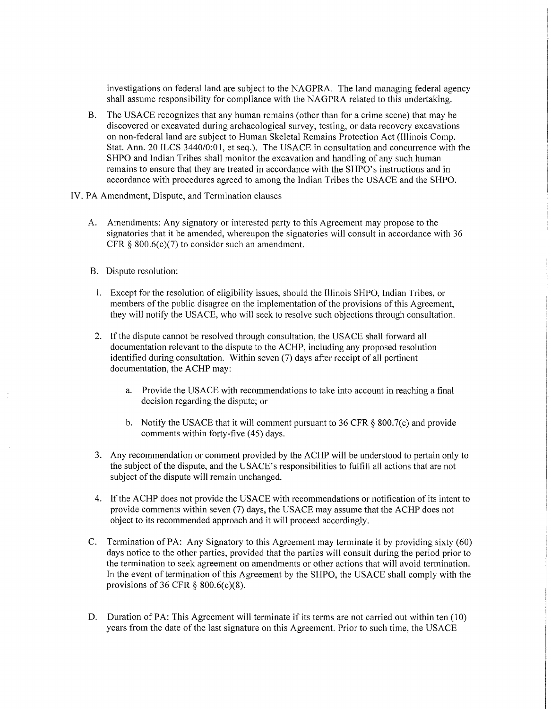investigations on federal land are subject to the NAGPRA. The land managing federal agency shall assume responsibility for compliance with the NAGPRA related to this undertaking.

- B. The USACE recognizes that any human remains (other than for a crime scene) that may be discovered or excavated during archaeological survey, testing, or data recovery excavations on non-federal land are subject to Human Skeletal Remains Protection Act (Illinois Comp. Stat. Ann. 20 ILCS 3440/0:01, et seq.). The USACE in consultation and concurrence with the SHPO and Indian Tribes shall monitor the excavation and handling of any such human remains to ensure that they are treated in accordance with the SHPO's instructions and in accordance with procedures agreed to among the Indian Tribes the USACE and the SHPO.
- IV. PA Amendment, Dispute, and Termination clauses
	- A. Amendments: Any signatory or interested party to this Agreement may propose to the signatories that it be amended, whereupon the signatories will consult in accordance with 36 CFR  $\S$  800.6(c)(7) to consider such an amendment.
	- B. Dispute resolution:
	- 1. Except for the resolution of eligibility issues, should the Illinois SHPO, Indian Tribes, or members of the public disagree on the implementation of the provisions of this Agreement, they will notify the USACE, who will seek to resolve such objections through consultation.
	- 2. If the dispute cannot be resolved through consultation, the USACE shall forward all documentation relevant to the dispute to the ACHP, including any proposed resolution identified during consultation. Within seven (7) days after receipt of all pertinent documentation, the ACHP may:
		- a. Provide the USACE with recommendations to take into account in reaching a final decision regarding the dispute; or
		- b. Notify the USACE that it will comment pursuant to 36 CFR § 800.7(c) and provide comments within forty-five (45) days.
	- 3. Any recommendation or comment provided by the ACHP will be understood to pertain only to the subject of the dispute, and the USACE's responsibilities to fulfill all actions that are not subject of the dispute will remain unchanged.
	- 4. If the ACHP does not provide the USACE with recommendations or notification of its intent to provide comments within seven (7) days, the USA CE may assume that the ACHP does not object to its recommended approach and it will proceed accordingly.
	- C. Termination of PA: Any Signatory to this Agreement may terminate it by providing sixty (60) days notice to the other parties, provided that the parties will consult during the period prior to the termination to seek agreement on amendments or other actions that will avoid termination. In the event of termination of this Agreement by the SHPO, the USACE shall comply with the provisions of 36 CFR  $\S$  800.6(c)(8).
	- D. Duration of PA: This Agreement will terminate if its terms are not carried out within ten (10) years from the date of the last signature on this Agreement. Prior to such time, the USA CE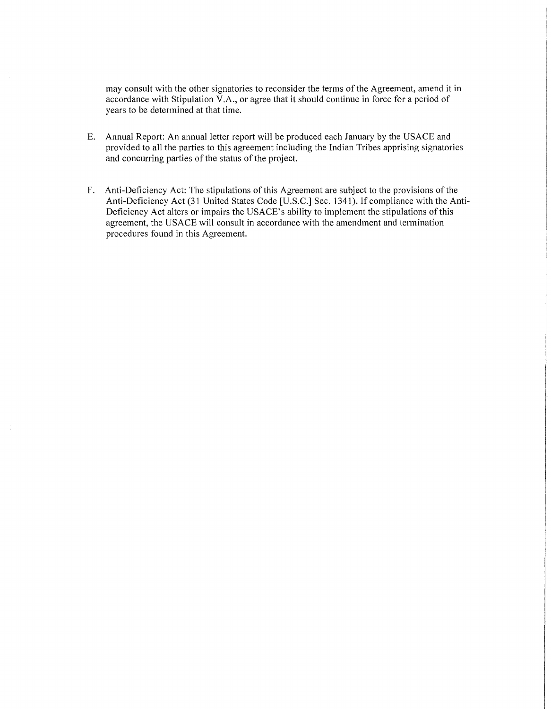may consult with the other signatories to reconsider the terms of the Agreement, amend it in accordance with Stipulation V.A., or agree that it should continue in force for a period of years to be determined at that time.

- E. Annual Report: An annual letter report will be produced each January by the USACE and provided to all the parties to this agreement including the Indian Tribes apprising signatories and concurring parties of the status of the project.
- F. Anti-Deficiency Act: The stipulations of this Agreement are subject to the provisions of the Anti-Deficiency Act (31 United States Code [U.S.C.] Sec. 1341). If compliance with the Anti-Deficiency Act alters or impairs the USACE's ability to implement the stipulations of this agreement, the USACE will consult in accordance with the amendment and termination procedures found in this Agreement.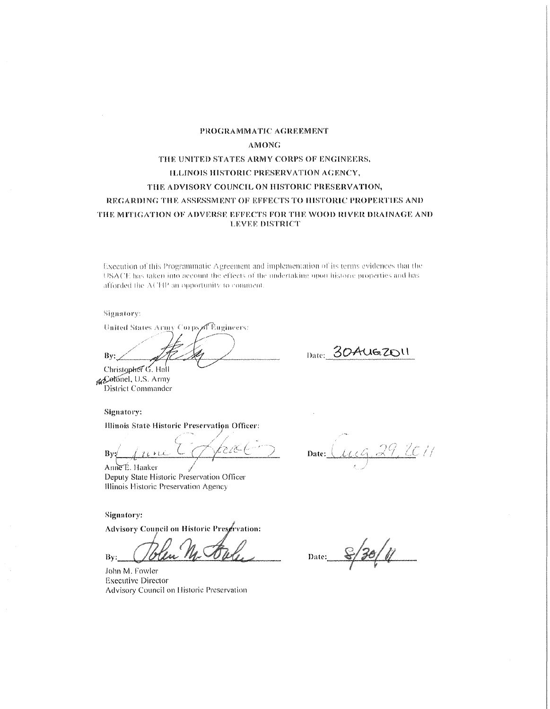## PROGRAMMATIC AGREEMENT **AMONG THE UNITED STATES ARMY CORPS OF ENGINEERS, ILLINOIS HISTORIC PRESERVATION AGENCY,** THE ADVISORY COUNCIL ON HISTORIC PRESERVATION, REGARDING THE ASSESSMENT OF EFFECTS TO HISTORIC PROPERTIES AND THE MITIGATION OF ADVERSE EFFECTS FOR THE WOOD RIVER DRAINAGE AND **LEVEE DISTRICT**

Execution of this Programmatic Agreement and implementation of its terms evidences that the USACE has taken into account the effects of the undertaking upon historic properties and has afforded the ACHP an opportunity to comment.

Signatory:

United States Army Corps of Bugineers:

Bv: Christopher<sup>7</sup> G. Hall

Date: 30 AUG 2011

reCotonel, U.S. Army District Commander

Signatory:

**Illinois State Historic Preservation Officer:** 

'• / *(\_ / i* . ' *1* c-·7· *1·* \_;, */* ;c ( By1 -l , ~ , LL ~-- . / *r* .... ~- ~-

Amie<sup>E</sup>. Haaker Deputy State Historic Preservation Officer Illinois Historic Preservation Agency

Signntory:

Advisory Council on Historic Preservation:

 $By:$ 

John M. Fowler Executive Director Advisory Council on Historic Preservation

2 Date: *Lucq, 29, 2011* 

Date: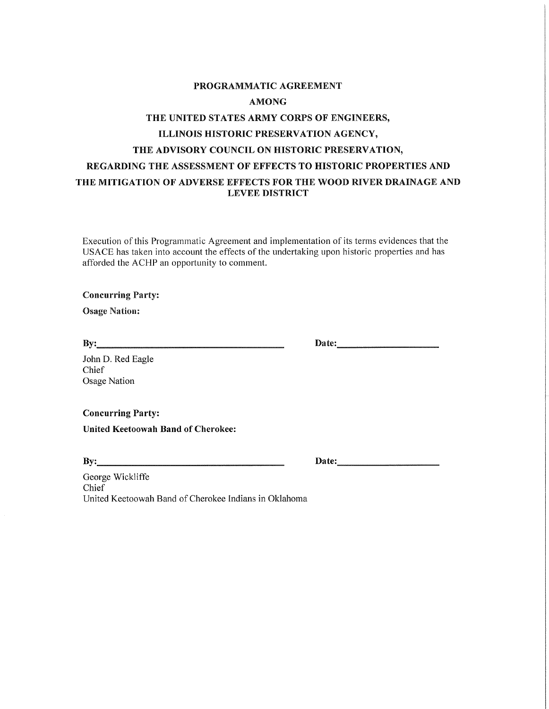# **PROGRAMMATIC AGREEMENT AMONG THE UNITED STATES ARMY CORPS OF ENGINEERS, ILLINOIS HISTORIC PRESERVATION AGENCY, THE ADVISORY COUNCIL ON HISTORIC PRESERVATION, REGARDING THE ASSESSMENT OF EFFECTS TO HISTORIC PROPERTIES AND THE MITIGATION OF ADVERSE EFFECTS FOR THE WOOD RIVER DRAINAGE AND LEVEE DISTRICT**

Execution of this Programmatic Agreement and implementation of its terms evidences that the USACE has taken into account the effects of the undertaking upon historic properties and has afforded the ACHP an opportunity to comment.

**Concurring Party:** 

**Osage Nation:** 

**By: \_\_\_\_\_\_\_\_\_\_\_\_\_\_ \_** 

**Date: \_\_\_\_\_\_\_\_ \_** 

John D. Red Eagle Chief Osage Nation

**Concurring Party:** 

**United Keetoowah Band of Cherokee:** 

**By: \_\_\_\_\_\_\_\_\_\_\_\_\_\_ \_** 

**Date: \_\_\_\_\_\_\_\_ \_** 

George Wickliffe Chief United Keetoowah Band of Cherokee Indians in Oklahoma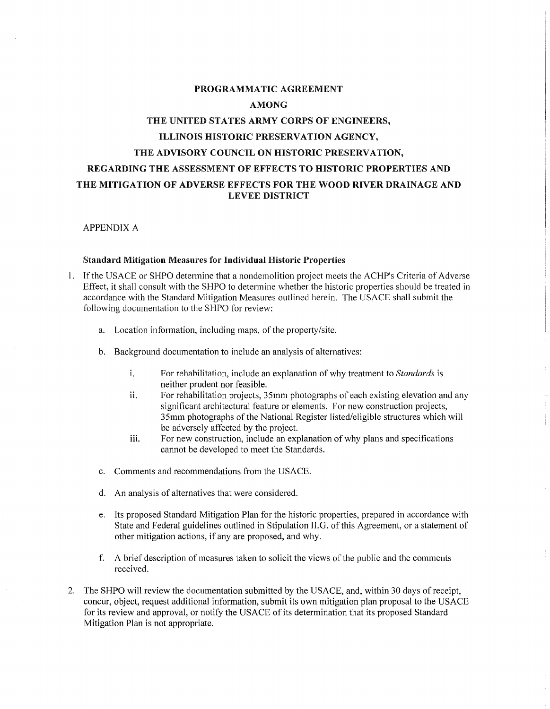# PROGRAMMATIC AGREEMENT AMONG THE UNITED STATES ARMY CORPS OF ENGINEERS, ILLINOIS HISTORIC PRESERVATION AGENCY, THE ADVISORY COUNCIL ON HISTORIC PRESERVATION, REGARDING THE ASSESSMENT OF EFFECTS TO HISTORIC PROPERTIES AND THE MITIGATION OF ADVERSE EFFECTS FOR THE WOOD RIVER DRAINAGE AND LEVEE DISTRICT

APPENDIX A

### **Standard Mitigation Measures for Individual Historic Properties**

- 1. If the USACE or SHPO determine that a nondemolition project meets the ACHP's Criteria of Adverse Effect, it shall consult with the SHPO to determine whether the historic properties should be treated in accordance with the Standard Mitigation Measures outlined herein. The USACE shall submit the following documentation to the SHPO for review:
	- a. Location information, including maps, of the property/site.
	- b. Background documentation to include an analysis of alternatives:
		- i. For rehabilitation, include an explanation of why treatment to *Standards* is neither prudent nor feasible.
		- ii. For rehabilitation projects, 35mm photographs of each existing elevation and any significant architectural feature or elements. For new construction projects, 35mm photographs of the National Register listed/eligible structures which will be adversely affected by the project.
		- iii. For new construction, include an explanation of why plans and specifications cannot be developed to meet the Standards.
	- c. Comments and recommendations from the USACE.
	- d. An analysis of alternatives that were considered.
	- e. Its proposed Standard Mitigation Plan for the historic properties, prepared in accordance with State and Federal guidelines outlined in Stipulation ILG. of this Agreement, or a statement of other mitigation actions, if any are proposed, and why.
	- f. A brief description of measures taken to solicit the views of the public and the comments received.
- 2. The SHPO will review the documentation submitted by the USACE, and, within 30 days ofreceipt, concur, object, request additional information, submit its own mitigation plan proposal to the USA CE for its review and approval, or notify the USACE of its determination that its proposed Standard Mitigation Plan is not appropriate.